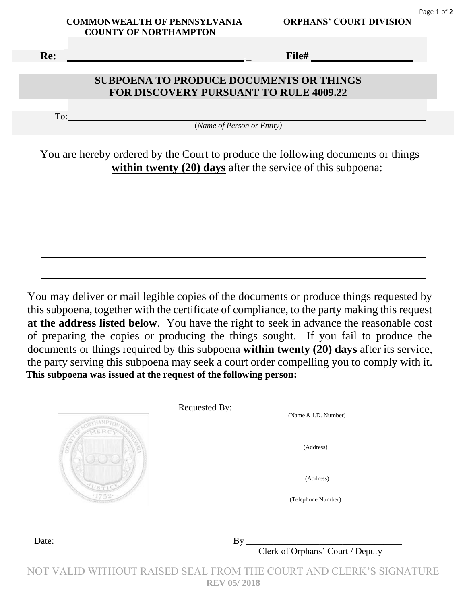$\overline{a}$ 

 **Re: \_\_\_\_\_\_\_\_\_\_\_\_\_\_\_\_\_\_\_\_\_\_\_\_\_\_\_\_\_\_\_\_\_.\_ File# \_\_\_\_\_\_\_\_\_\_\_\_\_\_\_\_\_\_** 

 $\overline{a}$ 

 $\overline{a}$ 

 $\overline{a}$ 

 $\overline{a}$ 

## **SUBPOENA TO PRODUCE DOCUMENTS OR THINGS FOR DISCOVERY PURSUANT TO RULE 4009.22**

To:

(*Name of Person or Entity)*

You are hereby ordered by the Court to produce the following documents or things **within twenty (20) days** after the service of this subpoena:

You may deliver or mail legible copies of the documents or produce things requested by this subpoena, together with the certificate of compliance, to the party making this request **at the address listed below**. You have the right to seek in advance the reasonable cost of preparing the copies or producing the things sought. If you fail to produce the documents or things required by this subpoena **within twenty (20) days** after its service, the party serving this subpoena may seek a court order compelling you to comply with it.  **This subpoena was issued at the request of the following person:**

|       | Requested By:<br>(Name & I.D. Number) |
|-------|---------------------------------------|
|       |                                       |
|       | (Address)                             |
|       | (Address)                             |
|       | (Telephone Number)                    |
|       |                                       |
| Date: | By                                    |
|       | Clerk of Orphans' Court / Deputy      |